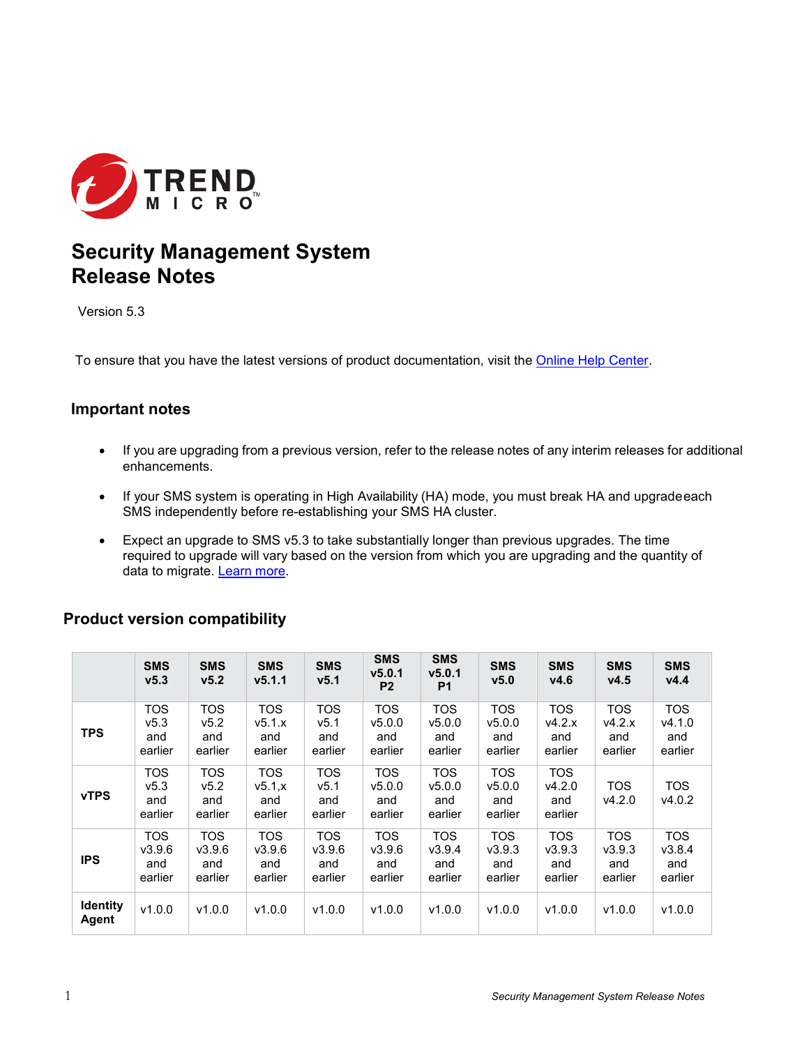

# **Security Management System Release Notes**

Version 5.3

To ensure that you have the latest versions of product documentation, visit the [Online Help Center.](http://docs.trendmicro.com/en-us/home.aspx)

#### **Important notes**

- If you are upgrading from a previous version, refer to the release notes of any interim releases for additional enhancements.
- If your SMS system is operating in High Availability (HA) mode, you must break HA and upgradeeach SMS independently before re-establishing your SMS HA cluster.
- Expect an upgrade to SMS v5.3 to take substantially longer than previous upgrades. The time required to upgrade will vary based on the version from which you are upgrading and the quantity of data to migrate. Learn [more.](#page-1-0)

## **Product version compatibility**

|                          | <b>SMS</b><br>V <sub>5.3</sub>            | <b>SMS</b><br>V <sub>5.2</sub>         | <b>SMS</b><br>v5.1.1                   | <b>SMS</b><br>v5.1                     | <b>SMS</b><br>v5.0.1<br>P <sub>2</sub> | <b>SMS</b><br>v5.0.1<br>P <sub>1</sub> | <b>SMS</b><br>V <sub>5.0</sub>         | <b>SMS</b><br>V4.6                     | <b>SMS</b><br>V4.5              | <b>SMS</b><br>V4.4                     |
|--------------------------|-------------------------------------------|----------------------------------------|----------------------------------------|----------------------------------------|----------------------------------------|----------------------------------------|----------------------------------------|----------------------------------------|---------------------------------|----------------------------------------|
| <b>TPS</b>               | <b>TOS</b><br>v5.3<br>and<br>earlier      | <b>TOS</b><br>v5.2<br>and<br>earlier   | <b>TOS</b><br>v5.1.x<br>and<br>earlier | TOS<br>v5.1<br>and<br>earlier          | <b>TOS</b><br>v5.0.0<br>and<br>earlier | <b>TOS</b><br>v5.0.0<br>and<br>earlier | <b>TOS</b><br>v5.0.0<br>and<br>earlier | <b>TOS</b><br>v4.2.x<br>and<br>earlier | TOS<br>v4.2.x<br>and<br>earlier | <b>TOS</b><br>v4.1.0<br>and<br>earlier |
| <b>vTPS</b>              | TOS<br>V <sub>5.3</sub><br>and<br>earlier | <b>TOS</b><br>v5.2<br>and<br>earlier   | <b>TOS</b><br>v5.1x<br>and<br>earlier  | TOS<br>v5.1<br>and<br>earlier          | <b>TOS</b><br>v5.0.0<br>and<br>earlier | TOS<br>v5.0.0<br>and<br>earlier        | <b>TOS</b><br>v5.0.0<br>and<br>earlier | <b>TOS</b><br>V4.2.0<br>and<br>earlier | <b>TOS</b><br>v4.2.0            | <b>TOS</b><br>v4.0.2                   |
| <b>IPS</b>               | <b>TOS</b><br>V3.9.6<br>and<br>earlier    | <b>TOS</b><br>V3.9.6<br>and<br>earlier | <b>TOS</b><br>V3.9.6<br>and<br>earlier | <b>TOS</b><br>V3.9.6<br>and<br>earlier | <b>TOS</b><br>V3.9.6<br>and<br>earlier | <b>TOS</b><br>V3.9.4<br>and<br>earlier | <b>TOS</b><br>V3.9.3<br>and<br>earlier | <b>TOS</b><br>V3.9.3<br>and<br>earlier | TOS<br>V3.9.3<br>and<br>earlier | <b>TOS</b><br>V3.8.4<br>and<br>earlier |
| <b>Identity</b><br>Agent | v1.0.0                                    | v1.0.0                                 | v1.0.0                                 | v1.0.0                                 | v1.0.0                                 | v1.0.0                                 | v1.0.0                                 | v1.0.0                                 | v1.0.0                          | v1.0.0                                 |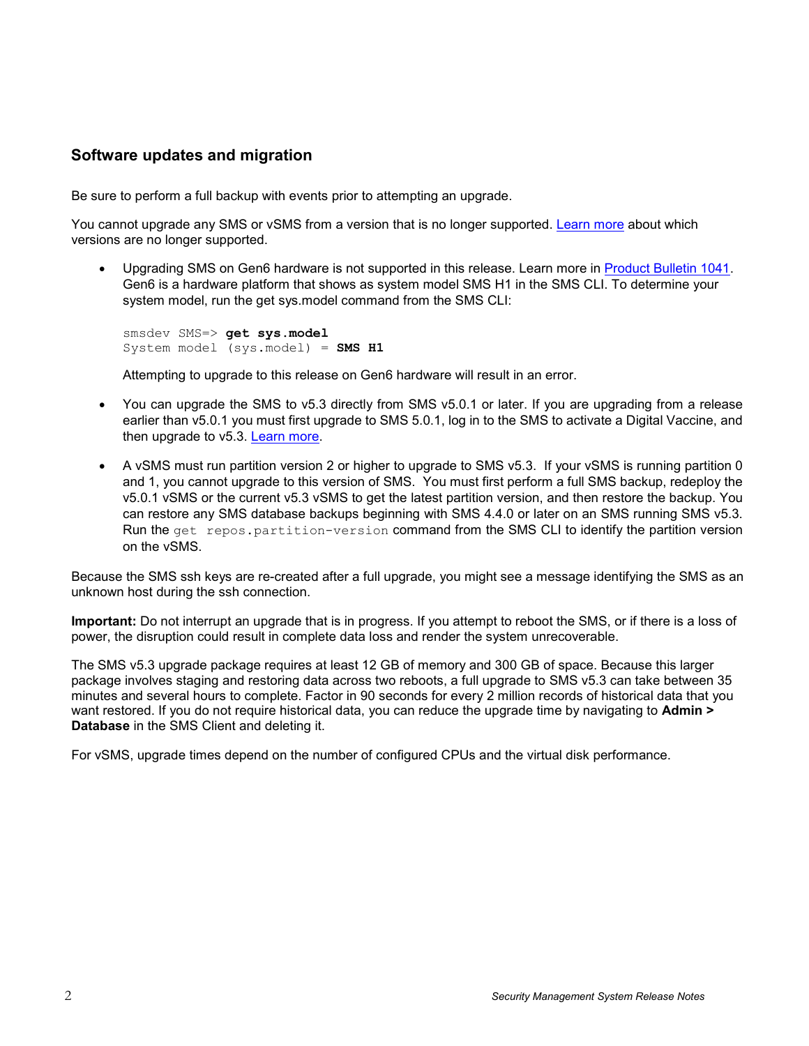#### <span id="page-1-0"></span>**Software updates and migration**

Be sure to perform a full backup with events prior to attempting an upgrade.

You cannot upgrade any SMS or vSMS from a version that is no longer supported. [Learn more](https://success.trendmicro.com/solution/TP000071914-TippingPoint-End-of-Life-EOL-dates) about which versions are no longer supported.

• Upgrading SMS on Gen6 hardware is not supported in this release. Learn more in [Product Bulletin 1041.](https://success.trendmicro.com/solution/TP000118116-PB-1041-EOS-EOL-Announcement-for-SMS-G6-G7-G8) Gen6 is a hardware platform that shows as system model SMS H1 in the SMS CLI. To determine your system model, run the get sys.model command from the SMS CLI:

```
smsdev SMS=> get sys.model
System model (sys.model) = SMS H1
```
Attempting to upgrade to this release on Gen6 hardware will result in an error.

- You can upgrade the SMS to v5.3 directly from SMS v5.0.1 or later. If you are upgrading from a release earlier than v5.0.1 you must first upgrade to SMS 5.0.1, log in to the SMS to activate a Digital Vaccine, and then upgrade to v5.3. [Learn more.](https://success.trendmicro.com/solution/TP000067488)
- A vSMS must run partition version 2 or higher to upgrade to SMS v5.3. If your vSMS is running partition 0 and 1, you cannot upgrade to this version of SMS. You must first perform a full SMS backup, redeploy the v5.0.1 vSMS or the current v5.3 vSMS to get the latest partition version, and then restore the backup. You can restore any SMS database backups beginning with SMS 4.4.0 or later on an SMS running SMS v5.3. Run the get repos.partition-version command from the SMS CLI to identify the partition version on the vSMS.

Because the SMS ssh keys are re-created after a full upgrade, you might see a message identifying the SMS as an unknown host during the ssh connection.

**Important:** Do not interrupt an upgrade that is in progress. If you attempt to reboot the SMS, or if there is a loss of power, the disruption could result in complete data loss and render the system unrecoverable.

The SMS v5.3 upgrade package requires at least 12 GB of memory and 300 GB of space. Because this larger package involves staging and restoring data across two reboots, a full upgrade to SMS v5.3 can take between 35 minutes and several hours to complete. Factor in 90 seconds for every 2 million records of historical data that you want restored. If you do not require historical data, you can reduce the upgrade time by navigating to **Admin > Database** in the SMS Client and deleting it.

For vSMS, upgrade times depend on the number of configured CPUs and the virtual disk performance.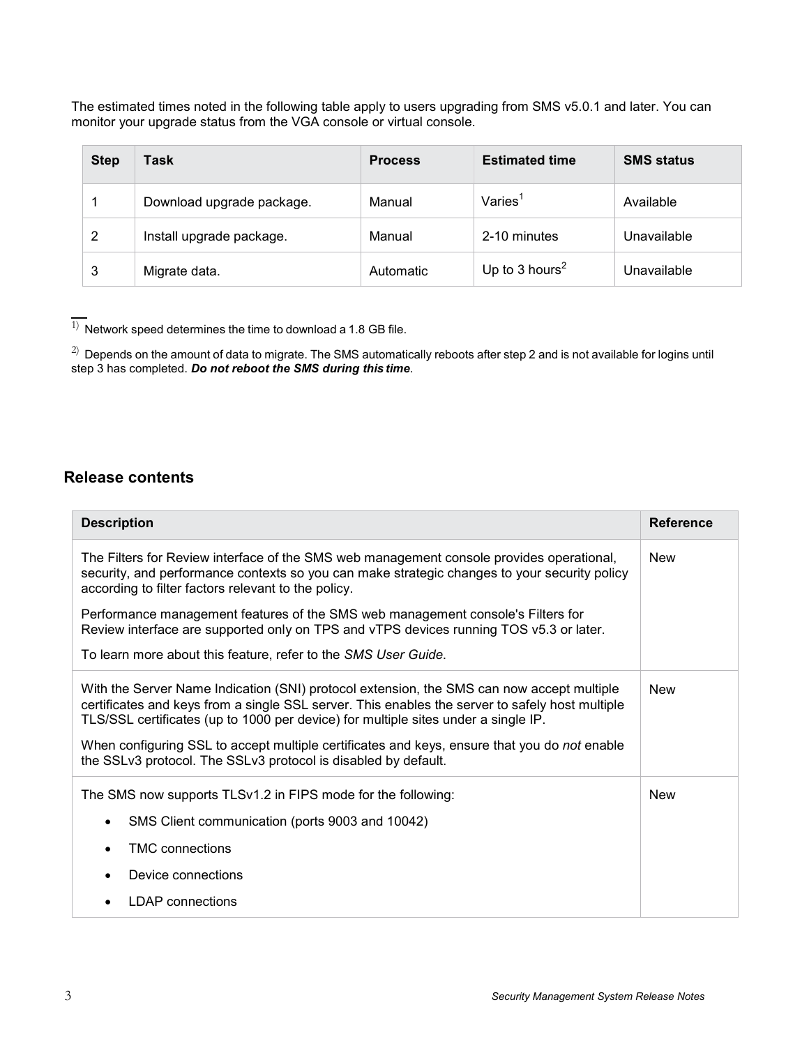The estimated times noted in the following table apply to users upgrading from SMS v5.0.1 and later. You can monitor your upgrade status from the VGA console or virtual console.

| <b>Step</b> | Task                      | <b>Process</b> | <b>Estimated time</b>      | <b>SMS status</b> |
|-------------|---------------------------|----------------|----------------------------|-------------------|
|             | Download upgrade package. | Manual         | Varies <sup>1</sup>        | Available         |
| 2           | Install upgrade package.  | Manual         | 2-10 minutes               | Unavailable       |
| 3           | Migrate data.             | Automatic      | Up to 3 hours <sup>2</sup> | Unavailable       |

<span id="page-2-0"></span> $\overline{1)}$  Network speed determines the time to download a 1.8 GB file.

<span id="page-2-1"></span> $^{2)}$  Depends on the amount of data to migrate. The SMS automatically reboots after step 2 and is not available for logins until step 3 has completed. *Do not reboot the SMS during this time*.

### **Release contents**

| <b>Description</b>                                                                                                                                                                                                                                                                                                                                                                                                                                   | <b>Reference</b> |  |  |  |
|------------------------------------------------------------------------------------------------------------------------------------------------------------------------------------------------------------------------------------------------------------------------------------------------------------------------------------------------------------------------------------------------------------------------------------------------------|------------------|--|--|--|
| The Filters for Review interface of the SMS web management console provides operational,<br>security, and performance contexts so you can make strategic changes to your security policy<br>according to filter factors relevant to the policy.                                                                                                                                                                                                      |                  |  |  |  |
| Performance management features of the SMS web management console's Filters for<br>Review interface are supported only on TPS and vTPS devices running TOS v5.3 or later.                                                                                                                                                                                                                                                                            |                  |  |  |  |
| To learn more about this feature, refer to the SMS User Guide.                                                                                                                                                                                                                                                                                                                                                                                       |                  |  |  |  |
| With the Server Name Indication (SNI) protocol extension, the SMS can now accept multiple<br>certificates and keys from a single SSL server. This enables the server to safely host multiple<br>TLS/SSL certificates (up to 1000 per device) for multiple sites under a single IP.<br>When configuring SSL to accept multiple certificates and keys, ensure that you do not enable<br>the SSLv3 protocol. The SSLv3 protocol is disabled by default. |                  |  |  |  |
| The SMS now supports TLSv1.2 in FIPS mode for the following:                                                                                                                                                                                                                                                                                                                                                                                         | <b>New</b>       |  |  |  |
| SMS Client communication (ports 9003 and 10042)                                                                                                                                                                                                                                                                                                                                                                                                      |                  |  |  |  |
| <b>TMC</b> connections                                                                                                                                                                                                                                                                                                                                                                                                                               |                  |  |  |  |
| Device connections                                                                                                                                                                                                                                                                                                                                                                                                                                   |                  |  |  |  |
| LDAP connections                                                                                                                                                                                                                                                                                                                                                                                                                                     |                  |  |  |  |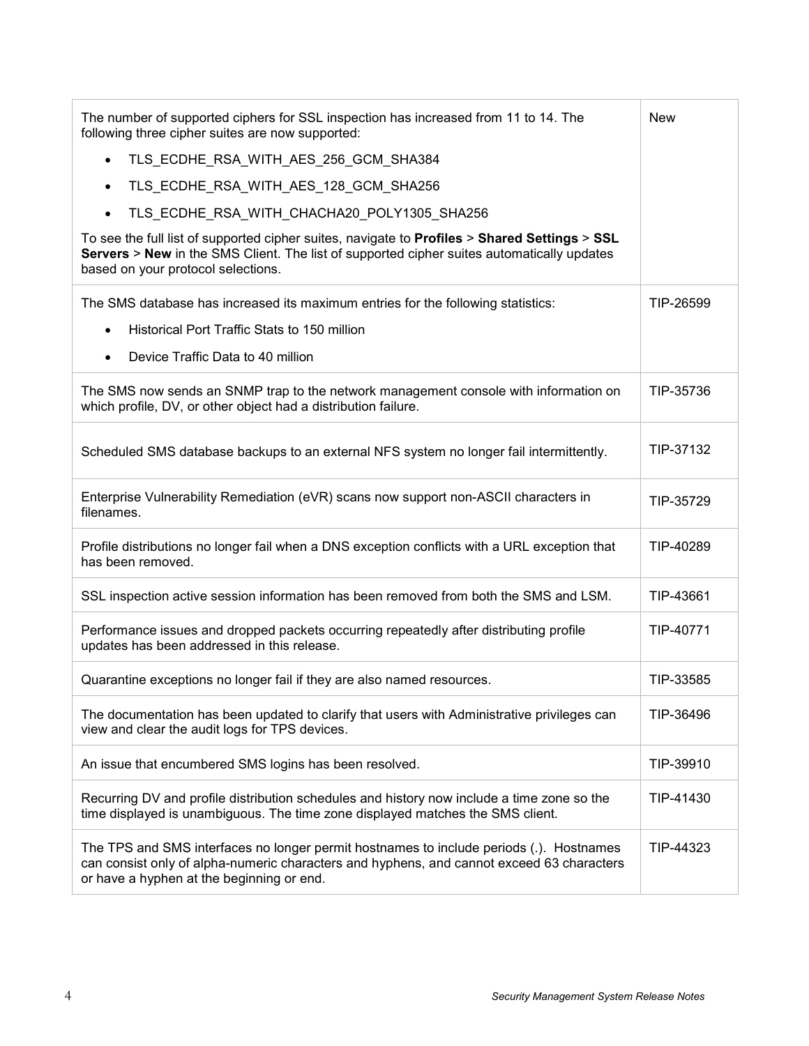| The number of supported ciphers for SSL inspection has increased from 11 to 14. The<br>following three cipher suites are now supported:                                                                                           |           |  |  |
|-----------------------------------------------------------------------------------------------------------------------------------------------------------------------------------------------------------------------------------|-----------|--|--|
| TLS_ECDHE_RSA_WITH_AES_256_GCM_SHA384<br>$\bullet$                                                                                                                                                                                |           |  |  |
| TLS_ECDHE_RSA_WITH_AES_128_GCM_SHA256<br>$\bullet$                                                                                                                                                                                |           |  |  |
| TLS_ECDHE_RSA_WITH_CHACHA20_POLY1305_SHA256                                                                                                                                                                                       |           |  |  |
| To see the full list of supported cipher suites, navigate to Profiles > Shared Settings > SSL<br>Servers > New in the SMS Client. The list of supported cipher suites automatically updates<br>based on your protocol selections. |           |  |  |
| The SMS database has increased its maximum entries for the following statistics:                                                                                                                                                  | TIP-26599 |  |  |
| Historical Port Traffic Stats to 150 million<br>$\bullet$                                                                                                                                                                         |           |  |  |
| Device Traffic Data to 40 million<br>$\bullet$                                                                                                                                                                                    |           |  |  |
| The SMS now sends an SNMP trap to the network management console with information on<br>which profile, DV, or other object had a distribution failure.                                                                            | TIP-35736 |  |  |
| Scheduled SMS database backups to an external NFS system no longer fail intermittently.                                                                                                                                           | TIP-37132 |  |  |
| Enterprise Vulnerability Remediation (eVR) scans now support non-ASCII characters in<br>filenames.                                                                                                                                | TIP-35729 |  |  |
| Profile distributions no longer fail when a DNS exception conflicts with a URL exception that<br>has been removed.                                                                                                                | TIP-40289 |  |  |
| SSL inspection active session information has been removed from both the SMS and LSM.                                                                                                                                             | TIP-43661 |  |  |
| Performance issues and dropped packets occurring repeatedly after distributing profile<br>updates has been addressed in this release.                                                                                             | TIP-40771 |  |  |
| Quarantine exceptions no longer fail if they are also named resources.                                                                                                                                                            | TIP-33585 |  |  |
| The documentation has been updated to clarify that users with Administrative privileges can<br>view and clear the audit logs for TPS devices.                                                                                     | TIP-36496 |  |  |
| An issue that encumbered SMS logins has been resolved.                                                                                                                                                                            | TIP-39910 |  |  |
| Recurring DV and profile distribution schedules and history now include a time zone so the<br>time displayed is unambiguous. The time zone displayed matches the SMS client.                                                      | TIP-41430 |  |  |
| The TPS and SMS interfaces no longer permit hostnames to include periods (.). Hostnames<br>can consist only of alpha-numeric characters and hyphens, and cannot exceed 63 characters<br>or have a hyphen at the beginning or end. | TIP-44323 |  |  |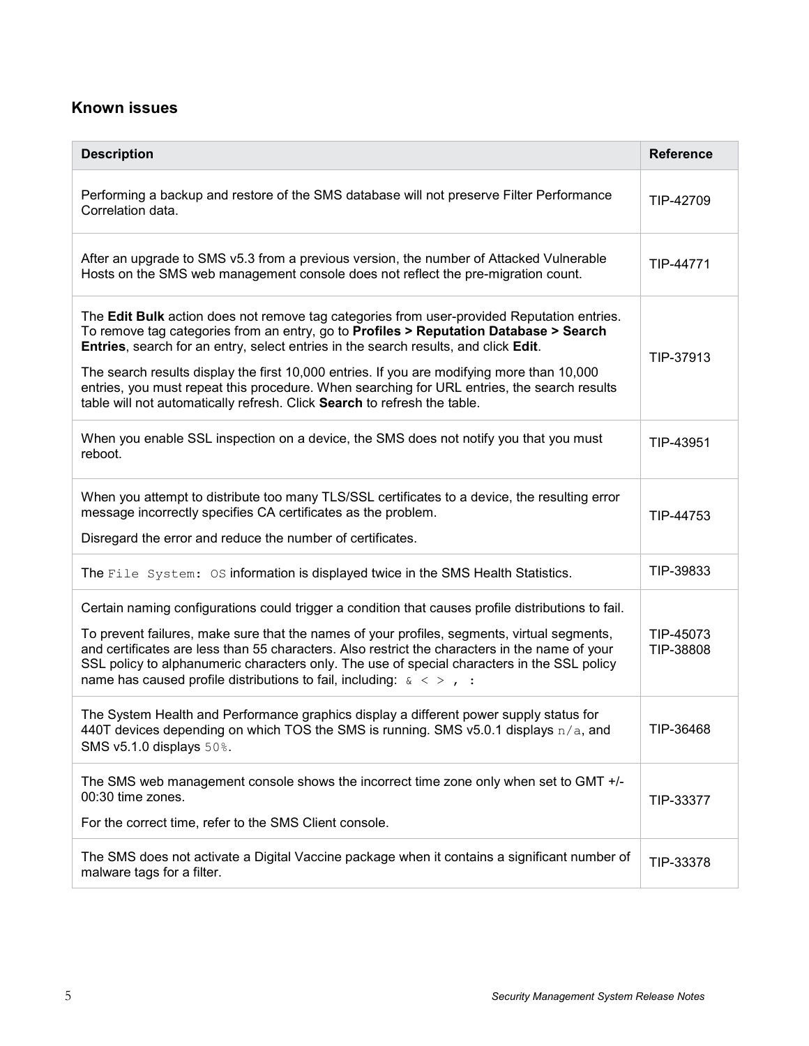# **Known issues**

| <b>Description</b>                                                                                                                                                                                                                                                                                                                                                                                                                                                                                                                                  | <b>Reference</b>       |
|-----------------------------------------------------------------------------------------------------------------------------------------------------------------------------------------------------------------------------------------------------------------------------------------------------------------------------------------------------------------------------------------------------------------------------------------------------------------------------------------------------------------------------------------------------|------------------------|
| Performing a backup and restore of the SMS database will not preserve Filter Performance<br>Correlation data.                                                                                                                                                                                                                                                                                                                                                                                                                                       | TIP-42709              |
| After an upgrade to SMS v5.3 from a previous version, the number of Attacked Vulnerable<br>Hosts on the SMS web management console does not reflect the pre-migration count.                                                                                                                                                                                                                                                                                                                                                                        | TIP-44771              |
| The Edit Bulk action does not remove tag categories from user-provided Reputation entries.<br>To remove tag categories from an entry, go to Profiles > Reputation Database > Search<br>Entries, search for an entry, select entries in the search results, and click Edit.<br>The search results display the first 10,000 entries. If you are modifying more than 10,000<br>entries, you must repeat this procedure. When searching for URL entries, the search results<br>table will not automatically refresh. Click Search to refresh the table. | TIP-37913              |
| When you enable SSL inspection on a device, the SMS does not notify you that you must<br>reboot.                                                                                                                                                                                                                                                                                                                                                                                                                                                    | TIP-43951              |
| When you attempt to distribute too many TLS/SSL certificates to a device, the resulting error<br>message incorrectly specifies CA certificates as the problem.<br>Disregard the error and reduce the number of certificates.                                                                                                                                                                                                                                                                                                                        | TIP-44753              |
| The File System: OS information is displayed twice in the SMS Health Statistics.                                                                                                                                                                                                                                                                                                                                                                                                                                                                    | TIP-39833              |
| Certain naming configurations could trigger a condition that causes profile distributions to fail.<br>To prevent failures, make sure that the names of your profiles, segments, virtual segments,<br>and certificates are less than 55 characters. Also restrict the characters in the name of your<br>SSL policy to alphanumeric characters only. The use of special characters in the SSL policy<br>name has caused profile distributions to fail, including: $\kappa \leq 1$ , :                                                                 | TIP-45073<br>TIP-38808 |
| The System Health and Performance graphics display a different power supply status for<br>440T devices depending on which TOS the SMS is running. SMS v5.0.1 displays $n/a$ , and<br>SMS v5.1.0 displays 50%.                                                                                                                                                                                                                                                                                                                                       | TIP-36468              |
| The SMS web management console shows the incorrect time zone only when set to GMT +/-<br>00:30 time zones.<br>For the correct time, refer to the SMS Client console.                                                                                                                                                                                                                                                                                                                                                                                | TIP-33377              |
| The SMS does not activate a Digital Vaccine package when it contains a significant number of<br>malware tags for a filter.                                                                                                                                                                                                                                                                                                                                                                                                                          | TIP-33378              |